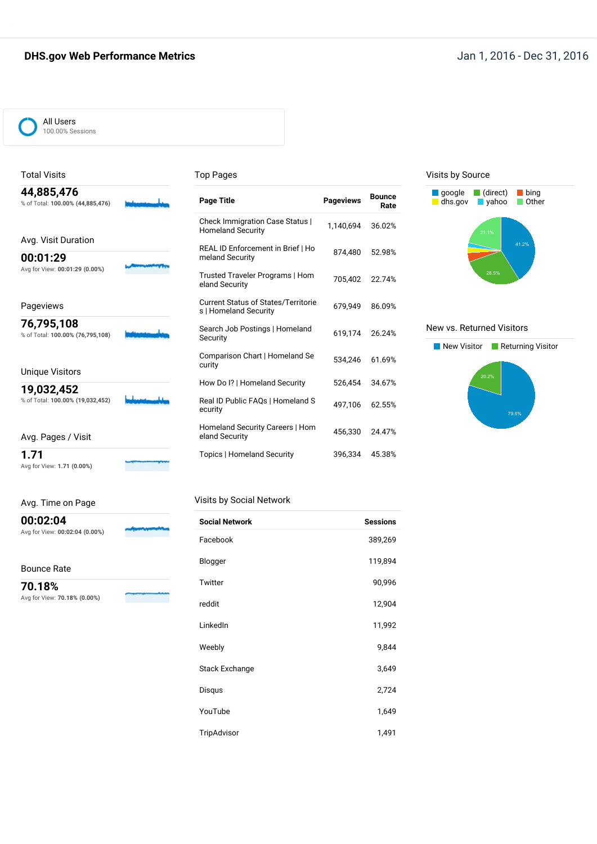### **DHS.gov Web Performance Metrics Jan 1, 2016 - Dec 31, 2016**



### Total Visits

#### Top Pages

| 44,885,476<br>% of Total: 100.00% (44,885,476)                    | <b>Page Title</b>                                                   | <b>Pageviews</b> | <b>Bounce</b><br>Rate |
|-------------------------------------------------------------------|---------------------------------------------------------------------|------------------|-----------------------|
|                                                                   | Check Immigration Case Status  <br><b>Homeland Security</b>         | 1.140.694        | 36.02%                |
| Avg. Visit Duration<br>00:01:29<br>Avg for View: 00:01:29 (0.00%) | REAL ID Enforcement in Brief   Ho<br>meland Security                | 874.480          | 52.98%                |
|                                                                   | Trusted Traveler Programs   Hom<br>eland Security                   | 705.402          | 22.74%                |
| Pageviews                                                         | <b>Current Status of States/Territorie</b><br>s   Homeland Security | 679.949          | 86.09%                |
| 76,795,108<br>% of Total: 100.00% (76,795,108)                    | Search Job Postings   Homeland<br>Security                          | 619,174          | 26.24%                |
| <b>Unique Visitors</b>                                            | Comparison Chart   Homeland Se<br>curity                            | 534.246          | 61.69%                |
|                                                                   | How Do I?   Homeland Security                                       | 526.454          | 34.67%                |
| 19,032,452<br>% of Total: 100.00% (19,032,452)                    | Real ID Public FAQs   Homeland S<br>ecurity                         | 497,106          | 62.55%                |
| Avg. Pages / Visit                                                | Homeland Security Careers   Hom<br>eland Security                   | 456.330          | 24.47%                |
| 1.71                                                              | <b>Topics   Homeland Security</b>                                   | 396,334          | 45.38%                |

#### Visits by Source



#### New vs. Returned Visitors



### Avg. Time on Page

Avg for View: **00:02:04 (0.00%)**

Avg for View: **1.71 (0.00%)**

Visits by Social Network

Bounce Rate

**00:02:04**

**70.18%** Avg for View: **70.18% (0.00%)**

| <b>Social Network</b> | <b>Sessions</b> |
|-----------------------|-----------------|
| Facebook              | 389,269         |
| Blogger               | 119,894         |
| Twitter               | 90,996          |
| reddit                | 12,904          |
| LinkedIn              | 11,992          |
| Weebly                | 9,844           |
| Stack Exchange        | 3,649           |
| Disqus                | 2,724           |
| YouTube               | 1,649           |
| TripAdvisor           | 1,491           |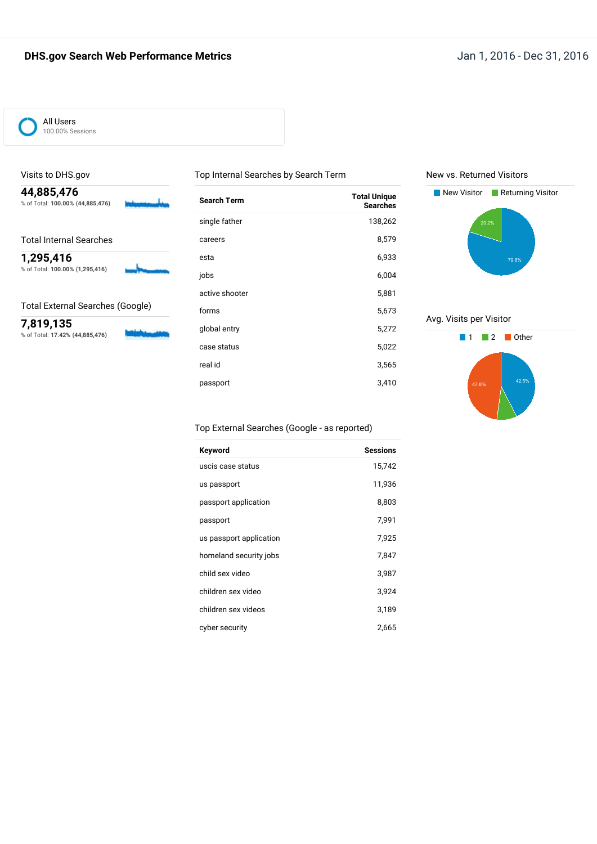

### Visits to DHS.gov

**44,885,476** % of Total: **100.00% (44,885,476)**

Total Internal Searches

**1,295,416** % of Total: **100.00% (1,295,416)**

Total External Searches (Google)

**7,819,135** % of Total: **17.42% (44,885,476)**

| <b>Search Term</b> | <b>Total Unique</b><br><b>Searches</b> |
|--------------------|----------------------------------------|
| single father      | 138,262                                |
| careers            | 8,579                                  |
| esta               | 6,933                                  |
| jobs               | 6,004                                  |
| active shooter     | 5,881                                  |
| forms              | 5,673                                  |
| global entry       | 5,272                                  |
| case status        | 5,022                                  |
| real id            | 3,565                                  |
| passport           | 3,410                                  |
|                    |                                        |

Top Internal Searches by Search Term

#### New vs. Returned Visitors



Avg. Visits per Visitor



### Top External Searches (Google - as reported)

| Keyword                 | <b>Sessions</b> |
|-------------------------|-----------------|
| uscis case status       | 15,742          |
| us passport             | 11,936          |
| passport application    | 8,803           |
| passport                | 7,991           |
| us passport application | 7,925           |
| homeland security jobs  | 7,847           |
| child sex video         | 3,987           |
| children sex video      | 3,924           |
| children sex videos     | 3,189           |
| cyber security          | 2,665           |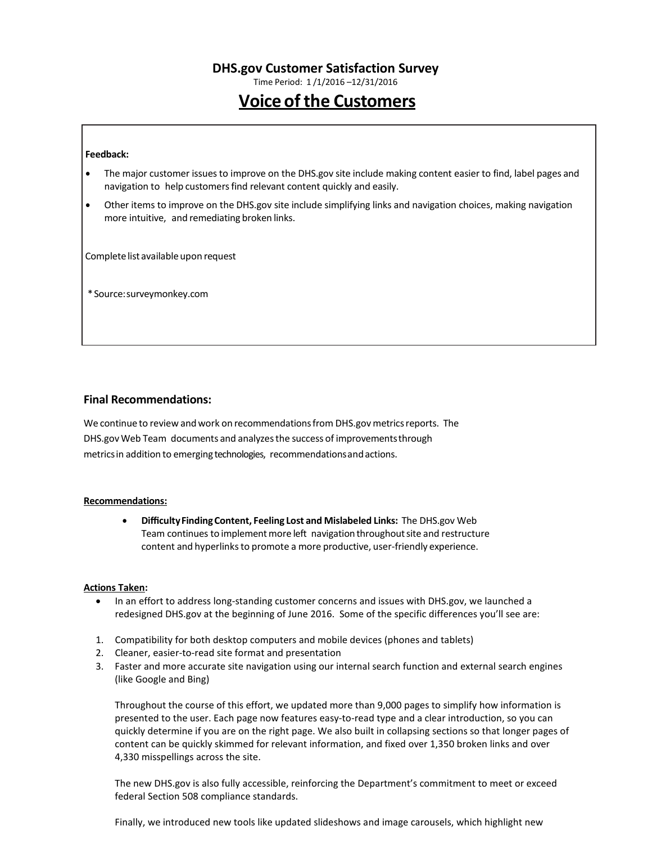Time Period: 1 /1/2016 –12/31/2016

# **Voice of the Customers**

#### **Feedback:**

- The major customer issuesto improve on the DHS.gov site include making content easier to find, label pages and navigation to help customers find relevant content quickly and easily.
- Other items to improve on the DHS.gov site include simplifying links and navigation choices, making navigation more intuitive, and remediating broken links.

Complete list available upon request

\*Source:surveymonkey.com

#### **Final Recommendations:**

We continue to review and work on recommendations from DHS.gov metrics reports. The DHS.gov Web Team documents and analyzesthe success of improvementsthrough metricsin addition to emerging technologies, recommendationsandactions.

#### **Recommendations:**

• **DifficultyFindingContent, Feeling Lost and Mislabeled Links:** The DHS.gov Web Team continues to implement more left navigation throughout site and restructure content and hyperlinks to promote a more productive, user-friendly experience.

#### **Actions Taken:**

- In an effort to address long-standing customer concerns and issues with DHS.gov, we launched a redesigned DHS.gov at the beginning of June 2016. Some of the specific differences you'll see are:
- 1. Compatibility for both desktop computers and mobile devices (phones and tablets)
- 2. Cleaner, easier-to-read site format and presentation
- 3. Faster and more accurate site navigation using our internal search function and external search engines (like Google and Bing)

Throughout the course of this effort, we updated more than 9,000 pages to simplify how information is presented to the user. Each page now features easy-to-read type and a clear introduction, so you can quickly determine if you are on the right page. We also built in collapsing sections so that longer pages of content can be quickly skimmed for relevant information, and fixed over 1,350 broken links and over 4,330 misspellings across the site.

The new DHS.gov is also fully accessible, reinforcing the Department's commitment to meet or exceed federal Section 508 compliance standards.

Finally, we introduced new tools like updated slideshows and image carousels, which highlight new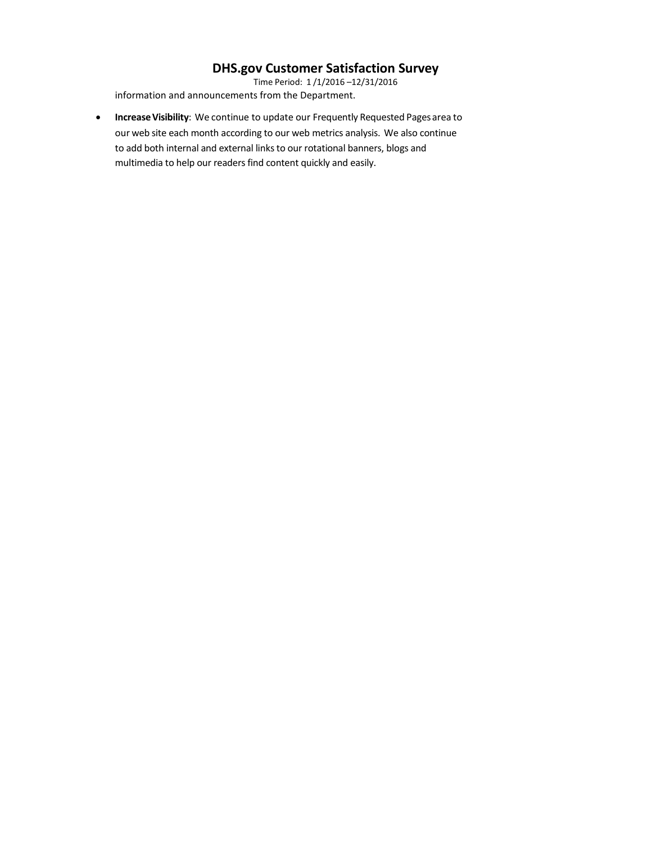Time Period: 1 /1/2016 –12/31/2016 information and announcements from the Department.

• **IncreaseVisibility**: We continue to update our Frequently Requested Pagesarea to our web site each month according to our web metrics analysis. We also continue to add both internal and external links to our rotational banners, blogs and multimedia to help our readers find content quickly and easily.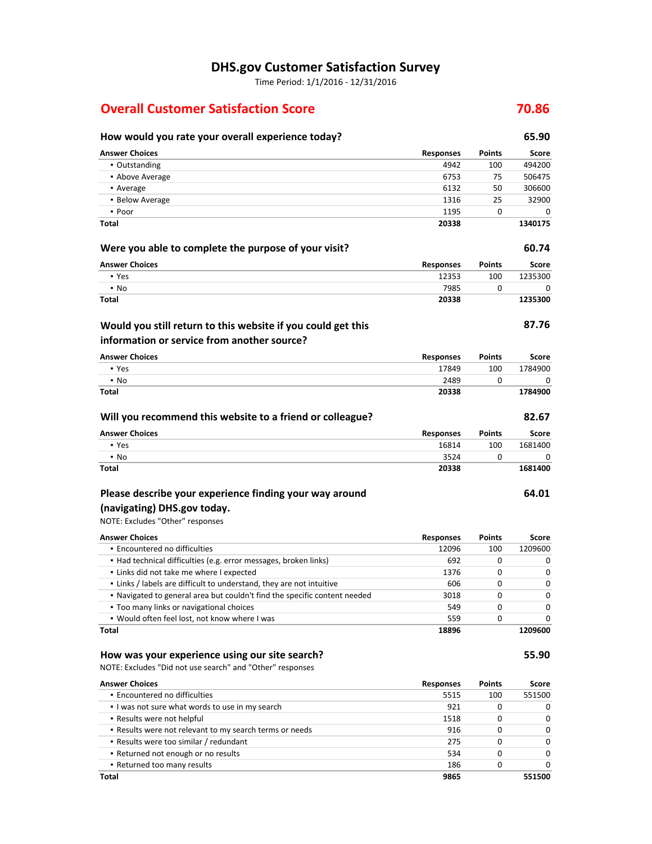Time Period: 1/1/2016 - 12/31/2016

### **Overall Customer Satisfaction Score 70.86**

| How would you rate your overall experience today?                         |                  |               | 65.90   |
|---------------------------------------------------------------------------|------------------|---------------|---------|
| <b>Answer Choices</b>                                                     | <b>Responses</b> | <b>Points</b> | Score   |
| • Outstanding                                                             | 4942             | 100           | 494200  |
| • Above Average                                                           | 6753             | 75            | 506475  |
| • Average                                                                 | 6132             | 50            | 306600  |
| • Below Average                                                           | 1316             | 25            | 32900   |
| • Poor                                                                    | 1195             | 0             | 0       |
| Total                                                                     | 20338            |               | 1340175 |
| Were you able to complete the purpose of your visit?                      |                  |               | 60.74   |
| <b>Answer Choices</b>                                                     | <b>Responses</b> | Points        | Score   |
| • Yes                                                                     | 12353            | 100           | 1235300 |
| • No                                                                      | 7985             | 0             | 0       |
| Total                                                                     | 20338            |               | 1235300 |
| Would you still return to this website if you could get this              |                  |               | 87.76   |
| information or service from another source?                               |                  |               |         |
| <b>Answer Choices</b>                                                     | <b>Responses</b> | <b>Points</b> | Score   |
| • Yes                                                                     | 17849            | 100           | 1784900 |
| $\cdot$ No                                                                | 2489             | 0             | 0       |
| Total                                                                     | 20338            |               | 1784900 |
| Will you recommend this website to a friend or colleague?                 |                  |               | 82.67   |
| <b>Answer Choices</b>                                                     | <b>Responses</b> | <b>Points</b> | Score   |
| • Yes                                                                     | 16814            | 100           | 1681400 |
| $\cdot$ No                                                                | 3524             | 0             | 0       |
| Total                                                                     | 20338            |               | 1681400 |
| Please describe your experience finding your way around                   |                  |               | 64.01   |
| (navigating) DHS.gov today.                                               |                  |               |         |
| NOTE: Excludes "Other" responses                                          |                  |               |         |
| <b>Answer Choices</b>                                                     | <b>Responses</b> | <b>Points</b> | Score   |
| · Encountered no difficulties                                             | 12096            | 100           | 1209600 |
| • Had technical difficulties (e.g. error messages, broken links)          | 692              | 0             | 0       |
| . Links did not take me where I expected                                  | 1376             | 0             | 0       |
| . Links / labels are difficult to understand, they are not intuitive      | 606              | 0             | 0       |
| . Navigated to general area but couldn't find the specific content needed | 3018             | 0             | 0       |
| . Too many links or navigational choices                                  | 549              | 0             | 0       |
| . Would often feel lost, not know where I was                             | 559              | 0             | 0       |
| Total                                                                     | 18896            |               | 1209600 |
| How was your experience using our site search?                            |                  |               | 55.90   |
| NOTE: Excludes "Did not use search" and "Other" responses                 |                  |               |         |
| <b>Answer Choices</b>                                                     | <b>Responses</b> | <b>Points</b> | Score   |
| . Encountered no difficulties                                             | 5515             | 100           | 551500  |
| . I was not sure what words to use in my search                           | 921              | 0             | 0       |
| · Results were not helpful                                                | 1518             | 0             | 0       |
| . Results were not relevant to my search terms or needs                   | 916              | 0             | 0       |
| • Results were too similar / redundant                                    | 275              | 0             | 0       |
| • Returned not enough or no results                                       | 534              | 0             | 0       |
| . Returned too many results                                               | 186              | 0             | 0       |

**Total 9865 551500**